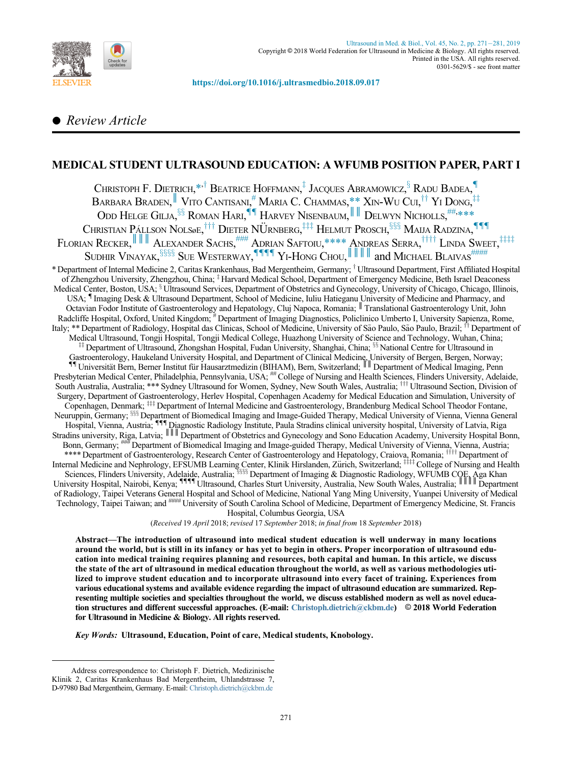

<https://doi.org/10.1016/j.ultrasmedbio.2018.09.017>

# Review Article

# MEDICAL STUDENT ULTRASOUND EDUCATION: A WFUMB POSITION PAPER, PART I

<span id="page-0-6"></span><span id="page-0-5"></span><span id="page-0-4"></span><span id="page-0-3"></span><span id="page-0-2"></span><span id="page-0-1"></span><span id="page-0-0"></span>Christoph F. Dietrich, $^{*,\dagger}$  $^{*,\dagger}$  $^{*,\dagger}$  Beatrice Hoffmann, $^\ddagger$  Jacques Abramowicz, $^\S$  Radu Badea, $^\P$ Barbara Braden,  $^\parallel$  Vito Cantisani,  $^\#$  $^\#$  Maria C. Chammas, $^\ast_\text{u}$ , Xin-Wu Cui, $^\dagger{}^\dagger$  Yi Dong, $^\ddagger{}^\ddagger$ Odd Helge Gilja,  $\S$ s Roman Hari,  $\P$  Harvey Nisenbaum, III Delwyn Nicholls,  $\overset{\text{\tiny{ii}},\text{\tiny{+}}\ast\ast\ast\ast}{\cdot}$ Christian Pállson Nolsøe,  $^{\dagger\dagger\dagger}$  Dieter NÜrnberg,  $^{\ddagger\ddagger\ddagger}$  Helmut Prosch,  $^{\S\S\S}$  Maija Radzina,  $^{\P\P\P}$ Florian Recker, III Alexander Sachs, [###](#page-0-11) Adrian Saftoiu[,\\*\\*\\*\\*](#page-0-11) Andreas Serra, †††† Linda Sweet, ‡‡‡‡ SUDHIR VINAYAK, $^{\S\S\S}$  Sue Westerway,  $^{\P\P\P\P\P}$  Yi-Hong Chou,  $\|\;\|\;\|$  and Michael Blaivas  $^{\# \# \# \#}$ \* Department of Internal Medicine 2, Caritas Krankenhaus, Bad Mergentheim, Germany; <sup>†</sup> Ultrasound Department, First Affiliated Hospital of Zhengzhou University, Zhengzhou, China; <sup>†</sup> Harvard Medical School, Department of Emergency Medicine, Beth Israel Deaconess Medical Center, Boston, USA; <sup>8</sup> Ultrasound Services, Department of Obstetrics and Gynecology, University of Chicago, Chicago, Illinois, USA; { Imaging Desk & Ultrasound Department, School of Medicine, Iuliu Hatieganu University of Medicine and Pharmacy, and Octavian Fodor Institute of Gastroenterology and Hepatology, Cluj Napoca, Romania; Translational Gastroenterology Unit, John Radcliffe Hospital, Oxford, United Kingdom; #Department of Imaging Diagnostics, Policlinico Umberto I, University Sapienza, Rome, Italy; \*\* Department of Radiology, Hospital das Clinicas, School of Medicine, University of São Paulo, São Paulo, Brazil; <sup>††</sup> Department of Medical Ultrasound, Tongji Hospital, Tongji Medical College, Huazhong University of Science and Technology, Wuhan, China; <sup>##</sup> Department of Ultrasound, Zhongshan Hospital, Fudan University, Shanghai, China; <sup>§§</sup> National Centre for Ultrasound in Gastroenterology, Haukeland University Hospital, and Department of Clinical Medicine, University of Bergen, Bergen, Norway;<br><sup>11</sup> Universität Bern, Berner Institut für Hausarztmedizin (BIHAM), Bern, Switzerland; <sup>|||</sup> Depar Presbyterian Medical Center, Philadelphia, Pennsylvania, USA;<sup>##</sup> College of Nursing and Health Sciences, Flinders University, Adelaide, South Australia, Australia; \*\*\* Sydney Ultrasound for Women, Sydney, New South Wales, Australia; <sup>†††</sup> Ultrasound Section, Division of Surgery, Department of Gastroenterology, Herlev Hospital, Copenhagen Academy for Medical Education and Simulation, University of Copenhagen, Denmark; <sup>###</sup> Department of Internal Medicine and Gastroenterology, Brandenburg Medical School Theodor Fontane, Neuruppin, Germany; <sup>888</sup> Department of Biomedical Imaging and Image-Guided Therapy, Medical University of Vienna, Vienna General Hospital, Vienna, Austria; {{{ Diagnostic Radiology Institute, Paula Stradins clinical university hospital, University of Latvia, Riga Stradins university, Riga, Latvia;  $\|\cdot\|$  Department of Obstetrics and Gynecology and Sono Education Academy, University Hospital Bonn, Bonn, Germany; ### Department of Biomedical Imaging and Image-guided Therapy, Medical University of Vienna, Vienna, Austria; \*\*\*\* Department of Gastroenterology, Research Center of Gastroenterology and Hepatology, Craiova, Romania; WILT Department of Internal Medicine and Nephrology, EFSUMB Learning Center, Klinik Hirslanden, Zürich, Switzerland; <sup>‡‡‡‡</sup> College of Nursing and Health Sciences, Flinders University, Adelaide, Australia; <sup>3333</sup> Department of Imaging & Diagnostic Radiology, WFUMB COE, Aga Khan<br>University Hospital, Nairobi, Kenya; <sup>¶¶¶</sup> Ultrasound, Charles Sturt University, Australia, New S of Radiology, Taipei Veterans General Hospital and School of Medicine, National Yang Ming University, Yuanpei University of Medical Technology, Taipei Taiwan; and #### University of South Carolina School of Medicine, Department of Emergency Medicine, St. Francis Hospital, Columbus Georgia, USA

(Received 19 April 2018; revised 17 September 2018; in final from 18 September 2018)

<span id="page-0-15"></span><span id="page-0-14"></span><span id="page-0-13"></span><span id="page-0-12"></span><span id="page-0-11"></span><span id="page-0-10"></span><span id="page-0-9"></span><span id="page-0-8"></span><span id="page-0-7"></span>Abstract—The introduction of ultrasound into medical student education is well underway in many locations around the world, but is still in its infancy or has yet to begin in others. Proper incorporation of ultrasound education into medical training requires planning and resources, both capital and human. In this article, we discuss the state of the art of ultrasound in medical education throughout the world, as well as various methodologies utilized to improve student education and to incorporate ultrasound into every facet of training. Experiences from various educational systems and available evidence regarding the impact of ultrasound education are summarized. Representing multiple societies and specialties throughout the world, we discuss established modern as well as novel education structures and different successful approaches. (E-mail: [Christoph.dietrich@ckbm.de\)](mailto:Christoph.dietrich@ckbm.de) © 2018 World Federation for Ultrasound in Medicine & Biology. All rights reserved.

Key Words: Ultrasound, Education, Point of care, Medical students, Knobology.

Address correspondence to: Christoph F. Dietrich, Medizinische Klinik 2, Caritas Krankenhaus Bad Mergentheim, Uhlandstrasse 7, D-97980 Bad Mergentheim, Germany. E-mail: [Christoph.dietrich@ckbm.de](mailto:Christoph.dietrich@ckbm.de)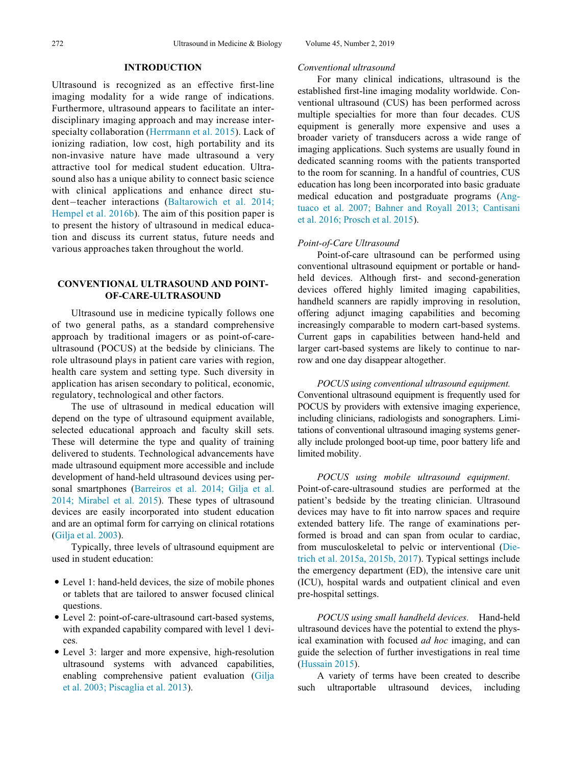## INTRODUCTION

Ultrasound is recognized as an effective first-line imaging modality for a wide range of indications. Furthermore, ultrasound appears to facilitate an interdisciplinary imaging approach and may increase interspecialty collaboration ([Herrmann et al. 2015](#page-9-0)). Lack of ionizing radiation, low cost, high portability and its non-invasive nature have made ultrasound a very attractive tool for medical student education. Ultrasound also has a unique ability to connect basic science with clinical applications and enhance direct stu-dent-teacher interactions ([Baltarowich et al. 2014;](#page-8-0) [Hempel et al. 2016b](#page-8-0)). The aim of this position paper is to present the history of ultrasound in medical education and discuss its current status, future needs and various approaches taken throughout the world.

# CONVENTIONAL ULTRASOUND AND POINT-OF-CARE-ULTRASOUND

Ultrasound use in medicine typically follows one of two general paths, as a standard comprehensive approach by traditional imagers or as point-of-careultrasound (POCUS) at the bedside by clinicians. The role ultrasound plays in patient care varies with region, health care system and setting type. Such diversity in application has arisen secondary to political, economic, regulatory, technological and other factors.

The use of ultrasound in medical education will depend on the type of ultrasound equipment available, selected educational approach and faculty skill sets. These will determine the type and quality of training delivered to students. Technological advancements have made ultrasound equipment more accessible and include development of hand-held ultrasound devices using personal smartphones ([Barreiros et al. 2014; Gilja et al.](#page-8-1) [2014; Mirabel et al. 2015\)](#page-8-1). These types of ultrasound devices are easily incorporated into student education and are an optimal form for carrying on clinical rotations [\(Gilja et al. 2003\)](#page-9-1).

Typically, three levels of ultrasound equipment are used in student education:

- Level 1: hand-held devices, the size of mobile phones or tablets that are tailored to answer focused clinical questions.
- Level 2: point-of-care-ultrasound cart-based systems, with expanded capability compared with level 1 devices.
- Level 3: larger and more expensive, high-resolution ultrasound systems with advanced capabilities, enabling comprehensive patient evaluation ([Gilja](#page-9-1) [et al. 2003; Piscaglia et al. 2013\)](#page-9-1).

#### Conventional ultrasound

For many clinical indications, ultrasound is the established first-line imaging modality worldwide. Conventional ultrasound (CUS) has been performed across multiple specialties for more than four decades. CUS equipment is generally more expensive and uses a broader variety of transducers across a wide range of imaging applications. Such systems are usually found in dedicated scanning rooms with the patients transported to the room for scanning. In a handful of countries, CUS education has long been incorporated into basic graduate medical education and postgraduate programs ([Ang](#page-8-2)[tuaco et al. 2007; Bahner and Royall 2013; Cantisani](#page-8-2) [et al. 2016; Prosch et al. 2015\)](#page-8-2).

## Point-of-Care Ultrasound

Point-of-care ultrasound can be performed using conventional ultrasound equipment or portable or handheld devices. Although first- and second-generation devices offered highly limited imaging capabilities, handheld scanners are rapidly improving in resolution, offering adjunct imaging capabilities and becoming increasingly comparable to modern cart-based systems. Current gaps in capabilities between hand-held and larger cart-based systems are likely to continue to narrow and one day disappear altogether.

POCUS using conventional ultrasound equipment. Conventional ultrasound equipment is frequently used for POCUS by providers with extensive imaging experience, including clinicians, radiologists and sonographers. Limitations of conventional ultrasound imaging systems generally include prolonged boot-up time, poor battery life and limited mobility.

POCUS using mobile ultrasound equipment. Point-of-care-ultrasound studies are performed at the patient's bedside by the treating clinician. Ultrasound devices may have to fit into narrow spaces and require extended battery life. The range of examinations performed is broad and can span from ocular to cardiac, from musculoskeletal to pelvic or interventional [\(Die](#page-9-2)[trich et al. 2015a, 2015b, 2017\)](#page-9-2). Typical settings include the emergency department (ED), the intensive care unit (ICU), hospital wards and outpatient clinical and even pre-hospital settings.

POCUS using small handheld devices. Hand-held ultrasound devices have the potential to extend the physical examination with focused ad hoc imaging, and can guide the selection of further investigations in real time ([Hussain 2015](#page-9-3)).

A variety of terms have been created to describe such ultraportable ultrasound devices, including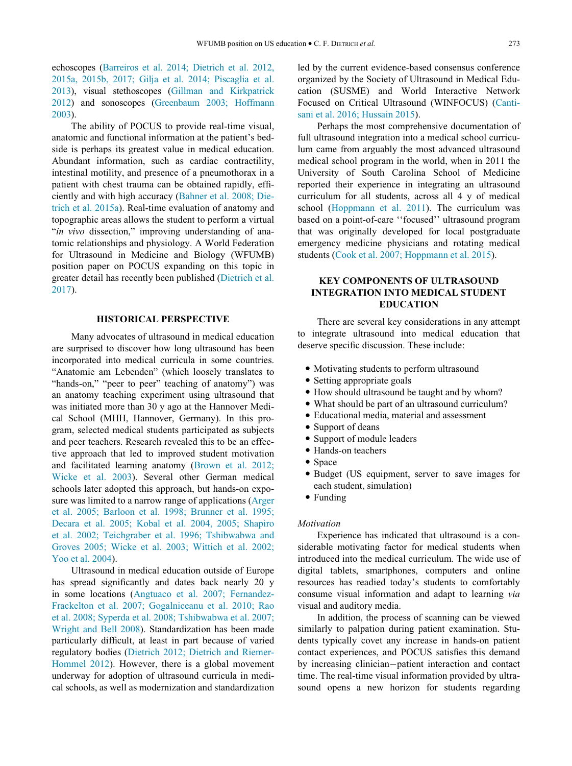echoscopes [\(Barreiros et al. 2014; Dietrich et al. 2012,](#page-8-1) [2015a, 2015b, 2017; Gilja et al. 2014; Piscaglia et al.](#page-8-1) [2013\)](#page-8-1), visual stethoscopes [\(Gillman and Kirkpatrick](#page-9-4) [2012\)](#page-9-4) and sonoscopes [\(Greenbaum 2003; Hoffmann](#page-9-5) [2003\)](#page-9-5).

The ability of POCUS to provide real-time visual, anatomic and functional information at the patient's bedside is perhaps its greatest value in medical education. Abundant information, such as cardiac contractility, intestinal motility, and presence of a pneumothorax in a patient with chest trauma can be obtained rapidly, efficiently and with high accuracy [\(Bahner et al. 2008; Die](#page-8-3)[trich et al. 2015a\)](#page-8-3). Real-time evaluation of anatomy and topographic areas allows the student to perform a virtual "in vivo dissection," improving understanding of anatomic relationships and physiology. A World Federation for Ultrasound in Medicine and Biology (WFUMB) position paper on POCUS expanding on this topic in greater detail has recently been published ([Dietrich et al.](#page-9-6) [2017\)](#page-9-6).

## HISTORICAL PERSPECTIVE

Many advocates of ultrasound in medical education are surprised to discover how long ultrasound has been incorporated into medical curricula in some countries. "Anatomie am Lebenden" (which loosely translates to "hands-on," "peer to peer" teaching of anatomy") was an anatomy teaching experiment using ultrasound that was initiated more than 30 y ago at the Hannover Medical School (MHH, Hannover, Germany). In this program, selected medical students participated as subjects and peer teachers. Research revealed this to be an effective approach that led to improved student motivation and facilitated learning anatomy ([Brown et al. 2012;](#page-8-4) [Wicke et al. 2003\)](#page-8-4). Several other German medical schools later adopted this approach, but hands-on exposure was limited to a narrow range of applications [\(Arger](#page-8-5) [et al. 2005; Barloon et al. 1998; Brunner et al. 1995;](#page-8-5) [Decara et al. 2005; Kobal et al. 2004, 2005; Shapiro](#page-8-5) [et al. 2002; Teichgraber et al. 1996; Tshibwabwa and](#page-8-5) [Groves 2005; Wicke et al. 2003; Wittich et al. 2002;](#page-8-5) [Yoo et al. 2004](#page-8-5)).

Ultrasound in medical education outside of Europe has spread significantly and dates back nearly 20 y in some locations ([Angtuaco et al. 2007; Fernandez-](#page-8-2)[Frackelton et al. 2007; Gogalniceanu et al. 2010; Rao](#page-8-2) [et al. 2008; Syperda et al. 2008; Tshibwabwa et al. 2007;](#page-8-2) [Wright and Bell 2008](#page-8-2)). Standardization has been made particularly difficult, at least in part because of varied regulatory bodies ([Dietrich 2012; Dietrich and Riemer-](#page-9-7)[Hommel 2012](#page-9-7)). However, there is a global movement underway for adoption of ultrasound curricula in medical schools, as well as modernization and standardization

led by the current evidence-based consensus conference organized by the Society of Ultrasound in Medical Education (SUSME) and World Interactive Network Focused on Critical Ultrasound (WINFOCUS) ([Canti](#page-8-6)[sani et al. 2016; Hussain 2015](#page-8-6)).

Perhaps the most comprehensive documentation of full ultrasound integration into a medical school curriculum came from arguably the most advanced ultrasound medical school program in the world, when in 2011 the University of South Carolina School of Medicine reported their experience in integrating an ultrasound curriculum for all students, across all 4 y of medical school [\(Hoppmann et al. 2011\)](#page-9-8). The curriculum was based on a point-of-care ''focused'' ultrasound program that was originally developed for local postgraduate emergency medicine physicians and rotating medical students ([Cook et al. 2007; Hoppmann et al. 2015\)](#page-9-9).

# KEY COMPONENTS OF ULTRASOUND INTEGRATION INTO MEDICAL STUDENT EDUCATION

There are several key considerations in any attempt to integrate ultrasound into medical education that deserve specific discussion. These include:

- Motivating students to perform ultrasound
- Setting appropriate goals
- How should ultrasound be taught and by whom?
- What should be part of an ultrasound curriculum?
- Educational media, material and assessment
- Support of deans
- Support of module leaders
- Hands-on teachers
- Space
- Budget (US equipment, server to save images for each student, simulation)
- Funding

#### Motivation

Experience has indicated that ultrasound is a considerable motivating factor for medical students when introduced into the medical curriculum. The wide use of digital tablets, smartphones, computers and online resources has readied today's students to comfortably consume visual information and adapt to learning via visual and auditory media.

In addition, the process of scanning can be viewed similarly to palpation during patient examination. Students typically covet any increase in hands-on patient contact experiences, and POCUS satisfies this demand by increasing clinician-patient interaction and contact time. The real-time visual information provided by ultrasound opens a new horizon for students regarding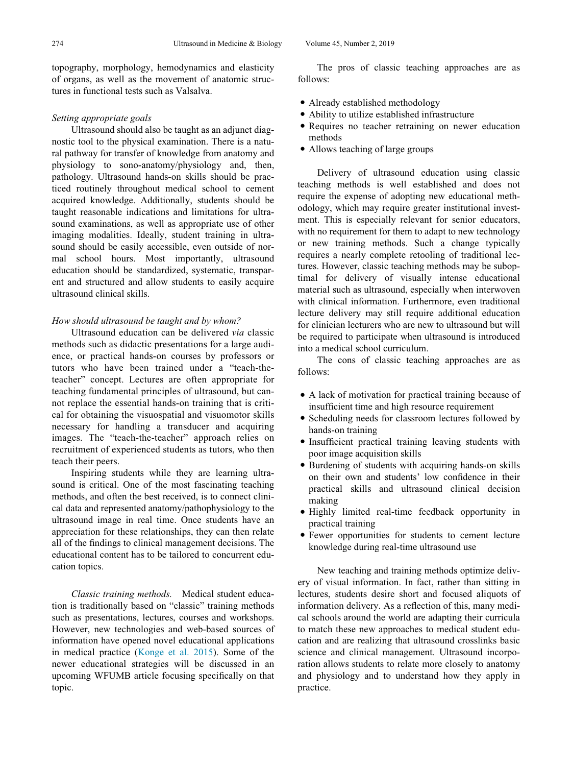topography, morphology, hemodynamics and elasticity of organs, as well as the movement of anatomic structures in functional tests such as Valsalva.

# Setting appropriate goals

Ultrasound should also be taught as an adjunct diagnostic tool to the physical examination. There is a natural pathway for transfer of knowledge from anatomy and physiology to sono-anatomy/physiology and, then, pathology. Ultrasound hands-on skills should be practiced routinely throughout medical school to cement acquired knowledge. Additionally, students should be taught reasonable indications and limitations for ultrasound examinations, as well as appropriate use of other imaging modalities. Ideally, student training in ultrasound should be easily accessible, even outside of normal school hours. Most importantly, ultrasound education should be standardized, systematic, transparent and structured and allow students to easily acquire ultrasound clinical skills.

## How should ultrasound be taught and by whom?

Ultrasound education can be delivered via classic methods such as didactic presentations for a large audience, or practical hands-on courses by professors or tutors who have been trained under a "teach-theteacher" concept. Lectures are often appropriate for teaching fundamental principles of ultrasound, but cannot replace the essential hands-on training that is critical for obtaining the visuospatial and visuomotor skills necessary for handling a transducer and acquiring images. The "teach-the-teacher" approach relies on recruitment of experienced students as tutors, who then teach their peers.

Inspiring students while they are learning ultrasound is critical. One of the most fascinating teaching methods, and often the best received, is to connect clinical data and represented anatomy/pathophysiology to the ultrasound image in real time. Once students have an appreciation for these relationships, they can then relate all of the findings to clinical management decisions. The educational content has to be tailored to concurrent education topics.

Classic training methods. Medical student education is traditionally based on "classic" training methods such as presentations, lectures, courses and workshops. However, new technologies and web-based sources of information have opened novel educational applications in medical practice [\(Konge et al. 2015](#page-10-0)). Some of the newer educational strategies will be discussed in an upcoming WFUMB article focusing specifically on that topic.

The pros of classic teaching approaches are as follows:

- Already established methodology
- Ability to utilize established infrastructure
- Requires no teacher retraining on newer education methods
- Allows teaching of large groups

Delivery of ultrasound education using classic teaching methods is well established and does not require the expense of adopting new educational methodology, which may require greater institutional investment. This is especially relevant for senior educators, with no requirement for them to adapt to new technology or new training methods. Such a change typically requires a nearly complete retooling of traditional lectures. However, classic teaching methods may be suboptimal for delivery of visually intense educational material such as ultrasound, especially when interwoven with clinical information. Furthermore, even traditional lecture delivery may still require additional education for clinician lecturers who are new to ultrasound but will be required to participate when ultrasound is introduced into a medical school curriculum.

The cons of classic teaching approaches are as follows:

- A lack of motivation for practical training because of insufficient time and high resource requirement
- Scheduling needs for classroom lectures followed by hands-on training
- Insufficient practical training leaving students with poor image acquisition skills
- Burdening of students with acquiring hands-on skills on their own and students' low confidence in their practical skills and ultrasound clinical decision making
- Highly limited real-time feedback opportunity in practical training
- Fewer opportunities for students to cement lecture knowledge during real-time ultrasound use

New teaching and training methods optimize delivery of visual information. In fact, rather than sitting in lectures, students desire short and focused aliquots of information delivery. As a reflection of this, many medical schools around the world are adapting their curricula to match these new approaches to medical student education and are realizing that ultrasound crosslinks basic science and clinical management. Ultrasound incorporation allows students to relate more closely to anatomy and physiology and to understand how they apply in practice.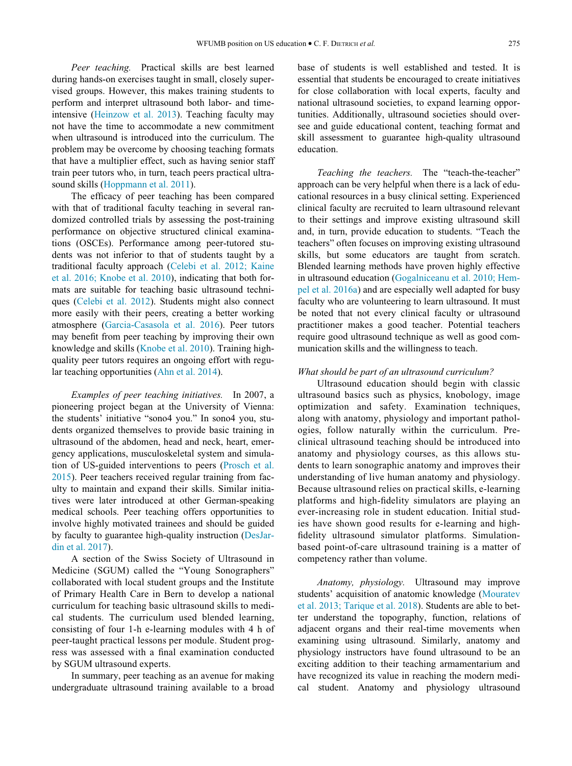Peer teaching. Practical skills are best learned during hands-on exercises taught in small, closely supervised groups. However, this makes training students to perform and interpret ultrasound both labor- and timeintensive [\(Heinzow et al. 2013\)](#page-9-10). Teaching faculty may not have the time to accommodate a new commitment when ultrasound is introduced into the curriculum. The problem may be overcome by choosing teaching formats that have a multiplier effect, such as having senior staff train peer tutors who, in turn, teach peers practical ultrasound skills [\(Hoppmann et al. 2011\)](#page-9-8).

The efficacy of peer teaching has been compared with that of traditional faculty teaching in several randomized controlled trials by assessing the post-training performance on objective structured clinical examinations (OSCEs). Performance among peer-tutored students was not inferior to that of students taught by a traditional faculty approach [\(Celebi et al. 2012; Kaine](#page-8-7) [et al. 2016; Knobe et al. 2010\)](#page-8-7), indicating that both formats are suitable for teaching basic ultrasound techniques ([Celebi et al. 2012\)](#page-8-7). Students might also connect more easily with their peers, creating a better working atmosphere [\(Garcia-Casasola et al. 2016\)](#page-9-11). Peer tutors may benefit from peer teaching by improving their own knowledge and skills [\(Knobe et al. 2010](#page-9-12)). Training highquality peer tutors requires an ongoing effort with regular teaching opportunities ([Ahn et al. 2014](#page-8-8)).

Examples of peer teaching initiatives. In 2007, a pioneering project began at the University of Vienna: the students' initiative "sono4 you." In sono4 you, students organized themselves to provide basic training in ultrasound of the abdomen, head and neck, heart, emergency applications, musculoskeletal system and simulation of US-guided interventions to peers [\(Prosch et al.](#page-10-1) [2015\)](#page-10-1). Peer teachers received regular training from faculty to maintain and expand their skills. Similar initiatives were later introduced at other German-speaking medical schools. Peer teaching offers opportunities to involve highly motivated trainees and should be guided by faculty to guarantee high-quality instruction [\(DesJar](#page-9-13)[din et al. 2017\)](#page-9-13).

A section of the Swiss Society of Ultrasound in Medicine (SGUM) called the "Young Sonographers" collaborated with local student groups and the Institute of Primary Health Care in Bern to develop a national curriculum for teaching basic ultrasound skills to medical students. The curriculum used blended learning, consisting of four 1-h e-learning modules with 4 h of peer-taught practical lessons per module. Student progress was assessed with a final examination conducted by SGUM ultrasound experts.

In summary, peer teaching as an avenue for making undergraduate ultrasound training available to a broad base of students is well established and tested. It is essential that students be encouraged to create initiatives for close collaboration with local experts, faculty and national ultrasound societies, to expand learning opportunities. Additionally, ultrasound societies should oversee and guide educational content, teaching format and skill assessment to guarantee high-quality ultrasound education.

Teaching the teachers. The "teach-the-teacher" approach can be very helpful when there is a lack of educational resources in a busy clinical setting. Experienced clinical faculty are recruited to learn ultrasound relevant to their settings and improve existing ultrasound skill and, in turn, provide education to students. "Teach the teachers" often focuses on improving existing ultrasound skills, but some educators are taught from scratch. Blended learning methods have proven highly effective in ultrasound education [\(Gogalniceanu et al. 2010; Hem](#page-9-14)[pel et al. 2016a\)](#page-9-14) and are especially well adapted for busy faculty who are volunteering to learn ultrasound. It must be noted that not every clinical faculty or ultrasound practitioner makes a good teacher. Potential teachers require good ultrasound technique as well as good communication skills and the willingness to teach.

## What should be part of an ultrasound curriculum?

Ultrasound education should begin with classic ultrasound basics such as physics, knobology, image optimization and safety. Examination techniques, along with anatomy, physiology and important pathologies, follow naturally within the curriculum. Preclinical ultrasound teaching should be introduced into anatomy and physiology courses, as this allows students to learn sonographic anatomy and improves their understanding of live human anatomy and physiology. Because ultrasound relies on practical skills, e-learning platforms and high-fidelity simulators are playing an ever-increasing role in student education. Initial studies have shown good results for e-learning and highfidelity ultrasound simulator platforms. Simulationbased point-of-care ultrasound training is a matter of competency rather than volume.

Anatomy, physiology. Ultrasound may improve students' acquisition of anatomic knowledge [\(Mouratev](#page-10-2) [et al. 2013; Tarique et al. 2018](#page-10-2)). Students are able to better understand the topography, function, relations of adjacent organs and their real-time movements when examining using ultrasound. Similarly, anatomy and physiology instructors have found ultrasound to be an exciting addition to their teaching armamentarium and have recognized its value in reaching the modern medical student. Anatomy and physiology ultrasound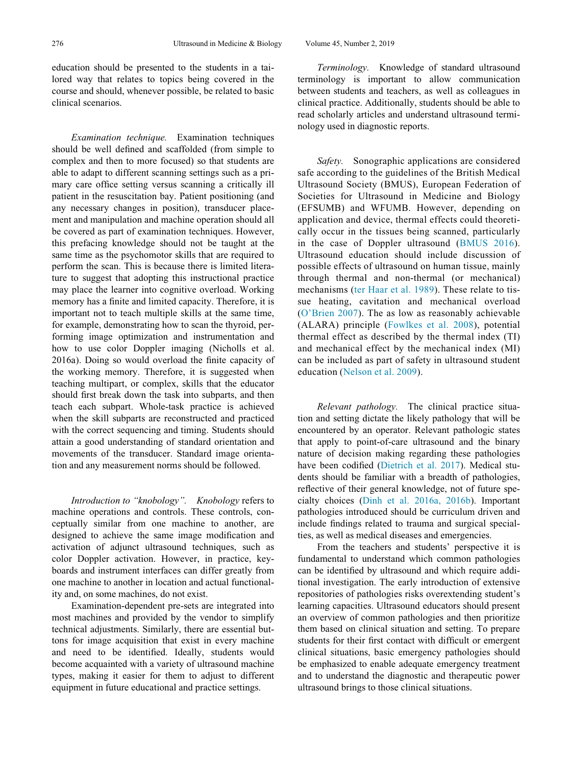Examination technique. Examination techniques should be well defined and scaffolded (from simple to complex and then to more focused) so that students are able to adapt to different scanning settings such as a primary care office setting versus scanning a critically ill patient in the resuscitation bay. Patient positioning (and any necessary changes in position), transducer placement and manipulation and machine operation should all be covered as part of examination techniques. However, this prefacing knowledge should not be taught at the same time as the psychomotor skills that are required to perform the scan. This is because there is limited literature to suggest that adopting this instructional practice may place the learner into cognitive overload. Working memory has a finite and limited capacity. Therefore, it is important not to teach multiple skills at the same time, for example, demonstrating how to scan the thyroid, performing image optimization and instrumentation and how to use color Doppler imaging (Nicholls et al. 2016a). Doing so would overload the finite capacity of the working memory. Therefore, it is suggested when teaching multipart, or complex, skills that the educator should first break down the task into subparts, and then teach each subpart. Whole-task practice is achieved when the skill subparts are reconstructed and practiced with the correct sequencing and timing. Students should attain a good understanding of standard orientation and movements of the transducer. Standard image orientation and any measurement norms should be followed.

Introduction to "knobology". Knobology refers to machine operations and controls. These controls, conceptually similar from one machine to another, are designed to achieve the same image modification and activation of adjunct ultrasound techniques, such as color Doppler activation. However, in practice, keyboards and instrument interfaces can differ greatly from one machine to another in location and actual functionality and, on some machines, do not exist.

Examination-dependent pre-sets are integrated into most machines and provided by the vendor to simplify technical adjustments. Similarly, there are essential buttons for image acquisition that exist in every machine and need to be identified. Ideally, students would become acquainted with a variety of ultrasound machine types, making it easier for them to adjust to different equipment in future educational and practice settings.

Terminology. Knowledge of standard ultrasound terminology is important to allow communication between students and teachers, as well as colleagues in clinical practice. Additionally, students should be able to read scholarly articles and understand ultrasound terminology used in diagnostic reports.

Safety. Sonographic applications are considered safe according to the guidelines of the British Medical Ultrasound Society (BMUS), European Federation of Societies for Ultrasound in Medicine and Biology (EFSUMB) and WFUMB. However, depending on application and device, thermal effects could theoretically occur in the tissues being scanned, particularly in the case of Doppler ultrasound [\(BMUS 2016](#page-8-9)). Ultrasound education should include discussion of possible effects of ultrasound on human tissue, mainly through thermal and non-thermal (or mechanical) mechanisms [\(ter Haar et al. 1989](#page-10-3)). These relate to tissue heating, cavitation and mechanical overload ([O'Brien 2007](#page-10-4)). The as low as reasonably achievable (ALARA) principle ([Fowlkes et al. 2008\)](#page-9-15), potential thermal effect as described by the thermal index (TI) and mechanical effect by the mechanical index (MI) can be included as part of safety in ultrasound student education ([Nelson et al. 2009\)](#page-10-5).

Relevant pathology. The clinical practice situation and setting dictate the likely pathology that will be encountered by an operator. Relevant pathologic states that apply to point-of-care ultrasound and the binary nature of decision making regarding these pathologies have been codified [\(Dietrich et al. 2017\)](#page-9-6). Medical students should be familiar with a breadth of pathologies, reflective of their general knowledge, not of future specialty choices ([Dinh et al. 2016a, 2016b](#page-9-16)). Important pathologies introduced should be curriculum driven and include findings related to trauma and surgical specialties, as well as medical diseases and emergencies.

From the teachers and students' perspective it is fundamental to understand which common pathologies can be identified by ultrasound and which require additional investigation. The early introduction of extensive repositories of pathologies risks overextending student's learning capacities. Ultrasound educators should present an overview of common pathologies and then prioritize them based on clinical situation and setting. To prepare students for their first contact with difficult or emergent clinical situations, basic emergency pathologies should be emphasized to enable adequate emergency treatment and to understand the diagnostic and therapeutic power ultrasound brings to those clinical situations.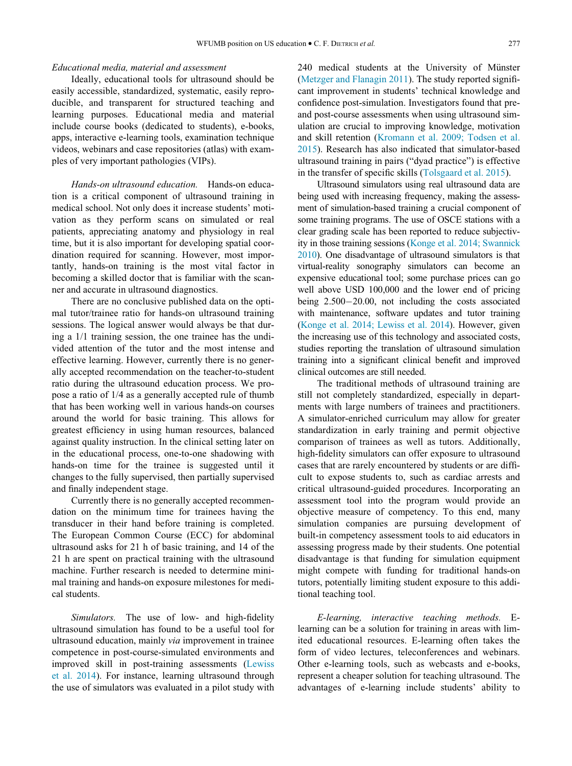## Educational media, material and assessment

Ideally, educational tools for ultrasound should be easily accessible, standardized, systematic, easily reproducible, and transparent for structured teaching and learning purposes. Educational media and material include course books (dedicated to students), e-books, apps, interactive e-learning tools, examination technique videos, webinars and case repositories (atlas) with examples of very important pathologies (VIPs).

Hands-on ultrasound education. Hands-on education is a critical component of ultrasound training in medical school. Not only does it increase students' motivation as they perform scans on simulated or real patients, appreciating anatomy and physiology in real time, but it is also important for developing spatial coordination required for scanning. However, most importantly, hands-on training is the most vital factor in becoming a skilled doctor that is familiar with the scanner and accurate in ultrasound diagnostics.

There are no conclusive published data on the optimal tutor/trainee ratio for hands-on ultrasound training sessions. The logical answer would always be that during a 1/1 training session, the one trainee has the undivided attention of the tutor and the most intense and effective learning. However, currently there is no generally accepted recommendation on the teacher-to-student ratio during the ultrasound education process. We propose a ratio of 1/4 as a generally accepted rule of thumb that has been working well in various hands-on courses around the world for basic training. This allows for greatest efficiency in using human resources, balanced against quality instruction. In the clinical setting later on in the educational process, one-to-one shadowing with hands-on time for the trainee is suggested until it changes to the fully supervised, then partially supervised and finally independent stage.

Currently there is no generally accepted recommendation on the minimum time for trainees having the transducer in their hand before training is completed. The European Common Course (ECC) for abdominal ultrasound asks for 21 h of basic training, and 14 of the 21 h are spent on practical training with the ultrasound machine. Further research is needed to determine minimal training and hands-on exposure milestones for medical students.

Simulators. The use of low- and high-fidelity ultrasound simulation has found to be a useful tool for ultrasound education, mainly via improvement in trainee competence in post-course-simulated environments and improved skill in post-training assessments [\(Lewiss](#page-10-6) [et al. 2014](#page-10-6)). For instance, learning ultrasound through the use of simulators was evaluated in a pilot study with

240 medical students at the University of Münster ([Metzger and Flanagin 2011\)](#page-10-7). The study reported significant improvement in students' technical knowledge and confidence post-simulation. Investigators found that preand post-course assessments when using ultrasound simulation are crucial to improving knowledge, motivation and skill retention [\(Kromann et al. 2009; Todsen et al.](#page-10-8) [2015](#page-10-8)). Research has also indicated that simulator-based ultrasound training in pairs ("dyad practice") is effective in the transfer of specific skills ([Tolsgaard et al. 2015](#page-10-9)).

Ultrasound simulators using real ultrasound data are being used with increasing frequency, making the assessment of simulation-based training a crucial component of some training programs. The use of OSCE stations with a clear grading scale has been reported to reduce subjectivity in those training sessions ([Konge et al. 2014; Swannick](#page-10-10) [2010\)](#page-10-10). One disadvantage of ultrasound simulators is that virtual-reality sonography simulators can become an expensive educational tool; some purchase prices can go well above USD 100,000 and the lower end of pricing being  $2.500-20.00$ , not including the costs associated with maintenance, software updates and tutor training ([Konge et al. 2014; Lewiss et al. 2014\)](#page-10-10). However, given the increasing use of this technology and associated costs, studies reporting the translation of ultrasound simulation training into a significant clinical benefit and improved clinical outcomes are still needed.

The traditional methods of ultrasound training are still not completely standardized, especially in departments with large numbers of trainees and practitioners. A simulator-enriched curriculum may allow for greater standardization in early training and permit objective comparison of trainees as well as tutors. Additionally, high-fidelity simulators can offer exposure to ultrasound cases that are rarely encountered by students or are difficult to expose students to, such as cardiac arrests and critical ultrasound-guided procedures. Incorporating an assessment tool into the program would provide an objective measure of competency. To this end, many simulation companies are pursuing development of built-in competency assessment tools to aid educators in assessing progress made by their students. One potential disadvantage is that funding for simulation equipment might compete with funding for traditional hands-on tutors, potentially limiting student exposure to this additional teaching tool.

E-learning, interactive teaching methods. Elearning can be a solution for training in areas with limited educational resources. E-learning often takes the form of video lectures, teleconferences and webinars. Other e-learning tools, such as webcasts and e-books, represent a cheaper solution for teaching ultrasound. The advantages of e-learning include students' ability to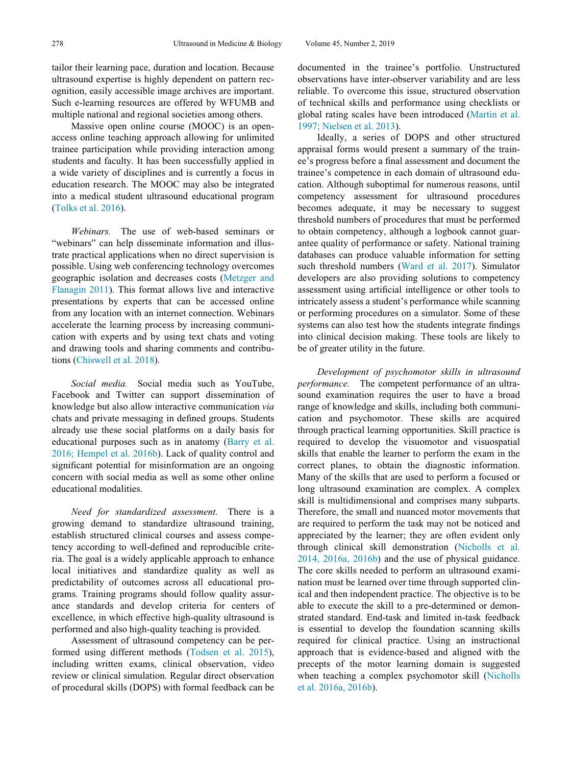tailor their learning pace, duration and location. Because ultrasound expertise is highly dependent on pattern recognition, easily accessible image archives are important. Such e-learning resources are offered by WFUMB and multiple national and regional societies among others.

Massive open online course (MOOC) is an openaccess online teaching approach allowing for unlimited trainee participation while providing interaction among students and faculty. It has been successfully applied in a wide variety of disciplines and is currently a focus in education research. The MOOC may also be integrated into a medical student ultrasound educational program [\(Tolks et al. 2016](#page-10-11)).

Webinars. The use of web-based seminars or "webinars" can help disseminate information and illustrate practical applications when no direct supervision is possible. Using web conferencing technology overcomes geographic isolation and decreases costs ([Metzger and](#page-10-7) [Flanagin 2011](#page-10-7)). This format allows live and interactive presentations by experts that can be accessed online from any location with an internet connection. Webinars accelerate the learning process by increasing communication with experts and by using text chats and voting and drawing tools and sharing comments and contributions [\(Chiswell et al. 2018\)](#page-9-17).

Social media. Social media such as YouTube, Facebook and Twitter can support dissemination of knowledge but also allow interactive communication via chats and private messaging in defined groups. Students already use these social platforms on a daily basis for educational purposes such as in anatomy [\(Barry et al.](#page-8-10) [2016; Hempel et al. 2016b](#page-8-10)). Lack of quality control and significant potential for misinformation are an ongoing concern with social media as well as some other online educational modalities.

Need for standardized assessment. There is a growing demand to standardize ultrasound training, establish structured clinical courses and assess competency according to well-defined and reproducible criteria. The goal is a widely applicable approach to enhance local initiatives and standardize quality as well as predictability of outcomes across all educational programs. Training programs should follow quality assurance standards and develop criteria for centers of excellence, in which effective high-quality ultrasound is performed and also high-quality teaching is provided.

Assessment of ultrasound competency can be performed using different methods [\(Todsen et al. 2015\)](#page-10-12), including written exams, clinical observation, video review or clinical simulation. Regular direct observation of procedural skills (DOPS) with formal feedback can be

documented in the trainee's portfolio. Unstructured observations have inter-observer variability and are less reliable. To overcome this issue, structured observation of technical skills and performance using checklists or global rating scales have been introduced [\(Martin et al.](#page-10-13) [1997; Nielsen et al. 2013](#page-10-13)).

Ideally, a series of DOPS and other structured appraisal forms would present a summary of the trainee's progress before a final assessment and document the trainee's competence in each domain of ultrasound education. Although suboptimal for numerous reasons, until competency assessment for ultrasound procedures becomes adequate, it may be necessary to suggest threshold numbers of procedures that must be performed to obtain competency, although a logbook cannot guarantee quality of performance or safety. National training databases can produce valuable information for setting such threshold numbers [\(Ward et al. 2017](#page-10-14)). Simulator developers are also providing solutions to competency assessment using artificial intelligence or other tools to intricately assess a student's performance while scanning or performing procedures on a simulator. Some of these systems can also test how the students integrate findings into clinical decision making. These tools are likely to be of greater utility in the future.

Development of psychomotor skills in ultrasound performance. The competent performance of an ultrasound examination requires the user to have a broad range of knowledge and skills, including both communication and psychomotor. These skills are acquired through practical learning opportunities. Skill practice is required to develop the visuomotor and visuospatial skills that enable the learner to perform the exam in the correct planes, to obtain the diagnostic information. Many of the skills that are used to perform a focused or long ultrasound examination are complex. A complex skill is multidimensional and comprises many subparts. Therefore, the small and nuanced motor movements that are required to perform the task may not be noticed and appreciated by the learner; they are often evident only through clinical skill demonstration [\(Nicholls et al.](#page-10-15) [2014, 2016a, 2016b](#page-10-15)) and the use of physical guidance. The core skills needed to perform an ultrasound examination must be learned over time through supported clinical and then independent practice. The objective is to be able to execute the skill to a pre-determined or demonstrated standard. End-task and limited in-task feedback is essential to develop the foundation scanning skills required for clinical practice. Using an instructional approach that is evidence-based and aligned with the precepts of the motor learning domain is suggested when teaching a complex psychomotor skill [\(Nicholls](#page-10-16) [et al. 2016a, 2016b\)](#page-10-16).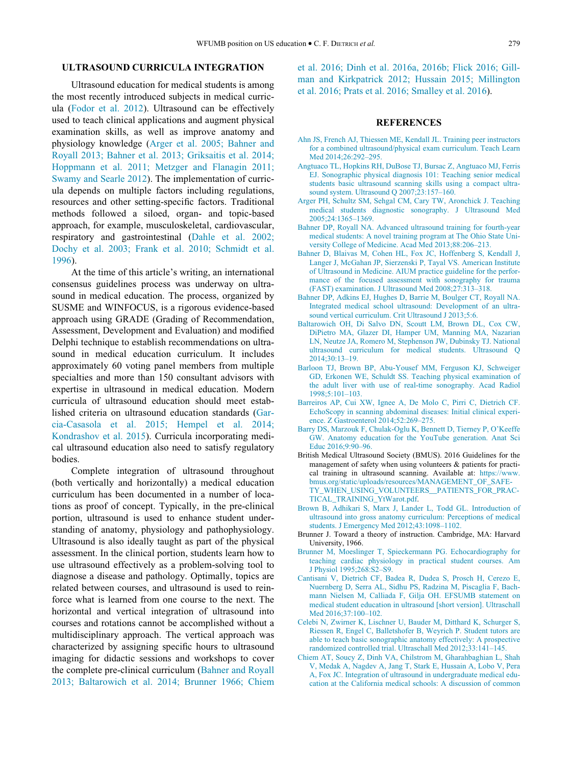## ULTRASOUND CURRICULA INTEGRATION

<span id="page-8-8"></span><span id="page-8-2"></span>Ultrasound education for medical students is among the most recently introduced subjects in medical curricula ([Fodor et al. 2012\)](#page-9-18). Ultrasound can be effectively used to teach clinical applications and augment physical examination skills, as well as improve anatomy and physiology knowledge [\(Arger et al. 2005; Bahner and](#page-8-5) [Royall 2013; Bahner et al. 2013; Griksaitis et al. 2014;](#page-8-5) [Hoppmann et al. 2011; Metzger and Flanagin 2011;](#page-8-5) [Swamy and Searle 2012](#page-8-5)). The implementation of curricula depends on multiple factors including regulations, resources and other setting-specific factors. Traditional methods followed a siloed, organ- and topic-based approach, for example, musculoskeletal, cardiovascular, respiratory and gastrointestinal [\(Dahle et al. 2002;](#page-9-19) [Dochy et al. 2003; Frank et al. 2010; Schmidt et al.](#page-9-19) [1996\)](#page-9-19).

<span id="page-8-11"></span><span id="page-8-5"></span><span id="page-8-3"></span><span id="page-8-0"></span>At the time of this article's writing, an international consensus guidelines process was underway on ultrasound in medical education. The process, organized by SUSME and WINFOCUS, is a rigorous evidence-based approach using GRADE (Grading of Recommendation, Assessment, Development and Evaluation) and modified Delphi technique to establish recommendations on ultrasound in medical education curriculum. It includes approximately 60 voting panel members from multiple specialties and more than 150 consultant advisors with expertise in ultrasound in medical education. Modern curricula of ultrasound education should meet established criteria on ultrasound education standards [\(Gar](#page-9-20)[cia-Casasola et al. 2015; Hempel et al. 2014;](#page-9-20) [Kondrashov et al. 2015](#page-9-20)). Curricula incorporating medical ultrasound education also need to satisfy regulatory bodies.

<span id="page-8-10"></span><span id="page-8-9"></span><span id="page-8-7"></span><span id="page-8-6"></span><span id="page-8-4"></span><span id="page-8-1"></span>Complete integration of ultrasound throughout (both vertically and horizontally) a medical education curriculum has been documented in a number of locations as proof of concept. Typically, in the pre-clinical portion, ultrasound is used to enhance student understanding of anatomy, physiology and pathophysiology. Ultrasound is also ideally taught as part of the physical assessment. In the clinical portion, students learn how to use ultrasound effectively as a problem-solving tool to diagnose a disease and pathology. Optimally, topics are related between courses, and ultrasound is used to reinforce what is learned from one course to the next. The horizontal and vertical integration of ultrasound into courses and rotations cannot be accomplished without a multidisciplinary approach. The vertical approach was characterized by assigning specific hours to ultrasound imaging for didactic sessions and workshops to cover the complete pre-clinical curriculum [\(Bahner and Royall](#page-8-11) [2013; Baltarowich et al. 2014; Brunner 1966; Chiem](#page-8-11) [et al. 2016; Dinh et al. 2016a, 2016b; Flick 2016; Gill](#page-8-11)[man and Kirkpatrick 2012; Hussain 2015; Millington](#page-8-11) [et al. 2016; Prats et al. 2016; Smalley et al. 2016\)](#page-8-11).

## **REFERENCES**

- [Ahn JS, French AJ, Thiessen ME, Kendall JL. Training peer instructors](http://refhub.elsevier.com/S0301-5629(18)30417-4/sbref0001) [for a combined ultrasound/physical exam curriculum. Teach Learn](http://refhub.elsevier.com/S0301-5629(18)30417-4/sbref0001) [Med 2014;26:292–295.](http://refhub.elsevier.com/S0301-5629(18)30417-4/sbref0001)
- [Angtuaco TL, Hopkins RH, DuBose TJ, Bursac Z, Angtuaco MJ, Ferris](http://refhub.elsevier.com/S0301-5629(18)30417-4/sbref0002) [EJ. Sonographic physical diagnosis 101: Teaching senior medical](http://refhub.elsevier.com/S0301-5629(18)30417-4/sbref0002) [students basic ultrasound scanning skills using a compact ultra](http://refhub.elsevier.com/S0301-5629(18)30417-4/sbref0002)[sound system. Ultrasound Q 2007;23:157–160.](http://refhub.elsevier.com/S0301-5629(18)30417-4/sbref0002)
- [Arger PH, Schultz SM, Sehgal CM, Cary TW, Aronchick J. Teaching](http://refhub.elsevier.com/S0301-5629(18)30417-4/sbref0003) [medical students diagnostic sonography. J Ultrasound Med](http://refhub.elsevier.com/S0301-5629(18)30417-4/sbref0003) [2005;24:1365–1369.](http://refhub.elsevier.com/S0301-5629(18)30417-4/sbref0003)
- [Bahner DP, Royall NA. Advanced ultrasound training for fourth-year](http://refhub.elsevier.com/S0301-5629(18)30417-4/sbref0004) [medical students: A novel training program at The Ohio State Uni](http://refhub.elsevier.com/S0301-5629(18)30417-4/sbref0004)[versity College of Medicine. Acad Med 2013;88:206–213.](http://refhub.elsevier.com/S0301-5629(18)30417-4/sbref0004)
- [Bahner D, Blaivas M, Cohen HL, Fox JC, Hoffenberg S, Kendall J,](http://refhub.elsevier.com/S0301-5629(18)30417-4/sbref0005) [Langer J, McGahan JP, Sierzenski P, Tayal VS. American Institute](http://refhub.elsevier.com/S0301-5629(18)30417-4/sbref0005) [of Ultrasound in Medicine. AIUM practice guideline for the perfor](http://refhub.elsevier.com/S0301-5629(18)30417-4/sbref0005)[mance of the focused assessment with sonography for trauma](http://refhub.elsevier.com/S0301-5629(18)30417-4/sbref0005) [\(FAST\) examination. J Ultrasound Med 2008;27:313–318.](http://refhub.elsevier.com/S0301-5629(18)30417-4/sbref0005)
- [Bahner DP, Adkins EJ, Hughes D, Barrie M, Boulger CT, Royall NA.](http://refhub.elsevier.com/S0301-5629(18)30417-4/sbref0006) [Integrated medical school ultrasound: Development of an ultra](http://refhub.elsevier.com/S0301-5629(18)30417-4/sbref0006)[sound vertical curriculum. Crit Ultrasound J 2013;5:6.](http://refhub.elsevier.com/S0301-5629(18)30417-4/sbref0006)
- [Baltarowich OH, Di Salvo DN, Scoutt LM, Brown DL, Cox CW,](http://refhub.elsevier.com/S0301-5629(18)30417-4/sbref0007) [DiPietro MA, Glazer DI, Hamper UM, Manning MA, Nazarian](http://refhub.elsevier.com/S0301-5629(18)30417-4/sbref0007) [LN, Neutze JA, Romero M, Stephenson JW, Dubinsky TJ. National](http://refhub.elsevier.com/S0301-5629(18)30417-4/sbref0007) [ultrasound curriculum for medical students. Ultrasound Q](http://refhub.elsevier.com/S0301-5629(18)30417-4/sbref0007) [2014;30:13–19.](http://refhub.elsevier.com/S0301-5629(18)30417-4/sbref0007)
- [Barloon TJ, Brown BP, Abu-Yousef MM, Ferguson KJ, Schweiger](http://refhub.elsevier.com/S0301-5629(18)30417-4/sbref0008) [GD, Erkonen WE, Schuldt SS. Teaching physical examination of](http://refhub.elsevier.com/S0301-5629(18)30417-4/sbref0008) [the adult liver with use of real-time sonography. Acad Radiol](http://refhub.elsevier.com/S0301-5629(18)30417-4/sbref0008) [1998;5:101–103.](http://refhub.elsevier.com/S0301-5629(18)30417-4/sbref0008)
- [Barreiros AP, Cui XW, Ignee A, De Molo C, Pirri C, Dietrich CF.](http://refhub.elsevier.com/S0301-5629(18)30417-4/sbref0009) [EchoScopy in scanning abdominal diseases: Initial clinical experi](http://refhub.elsevier.com/S0301-5629(18)30417-4/sbref0009)[ence. Z Gastroenterol 2014;52:269–275.](http://refhub.elsevier.com/S0301-5629(18)30417-4/sbref0009)
- [Barry DS, Marzouk F, Chulak-Oglu K, Bennett D, Tierney P, O'Keeffe](http://refhub.elsevier.com/S0301-5629(18)30417-4/sbref0010) [GW. Anatomy education for the YouTube generation. Anat Sci](http://refhub.elsevier.com/S0301-5629(18)30417-4/sbref0010) [Educ 2016;9:90–96.](http://refhub.elsevier.com/S0301-5629(18)30417-4/sbref0010)
- British Medical Ultrasound Society (BMUS). 2016 Guidelines for the management of safety when using volunteers & patients for practical training in ultrasound scanning. Available at: [https://www.](https://www.bmus.org/static/uploads/resources/MANAGEMENT_OF_SAFETY_WHEN_USING_VOLUNTEERS__PATIENTS_FOR_PRACTICAL_TRAINING_YtWarot.pdf) [bmus.org/static/uploads/resources/MANAGEMENT\\_OF\\_SAFE-](https://www.bmus.org/static/uploads/resources/MANAGEMENT_OF_SAFETY_WHEN_USING_VOLUNTEERS__PATIENTS_FOR_PRACTICAL_TRAINING_YtWarot.pdf)[TY\\_WHEN\\_USING\\_VOLUNTEERS\\_\\_PATIENTS\\_FOR\\_PRAC-](https://www.bmus.org/static/uploads/resources/MANAGEMENT_OF_SAFETY_WHEN_USING_VOLUNTEERS__PATIENTS_FOR_PRACTICAL_TRAINING_YtWarot.pdf)[TICAL\\_TRAINING\\_YtWarot.pdf.](https://www.bmus.org/static/uploads/resources/MANAGEMENT_OF_SAFETY_WHEN_USING_VOLUNTEERS__PATIENTS_FOR_PRACTICAL_TRAINING_YtWarot.pdf)
- [Brown B, Adhikari S, Marx J, Lander L, Todd GL. Introduction of](http://refhub.elsevier.com/S0301-5629(18)30417-4/sbref0012) [ultrasound into gross anatomy curriculum: Perceptions of medical](http://refhub.elsevier.com/S0301-5629(18)30417-4/sbref0012) [students. J Emergency Med 2012;43:1098–1102.](http://refhub.elsevier.com/S0301-5629(18)30417-4/sbref0012)
- Brunner J. Toward a theory of instruction. Cambridge, MA: Harvard University, 1966.
- [Brunner M, Moeslinger T, Spieckermann PG. Echocardiography for](http://refhub.elsevier.com/S0301-5629(18)30417-4/sbref0013) [teaching cardiac physiology in practical student courses. Am](http://refhub.elsevier.com/S0301-5629(18)30417-4/sbref0013) [J Physiol 1995;268:S2–S9.](http://refhub.elsevier.com/S0301-5629(18)30417-4/sbref0013)
- [Cantisani V, Dietrich CF, Badea R, Dudea S, Prosch H, Cerezo E,](http://refhub.elsevier.com/S0301-5629(18)30417-4/sbref0014) [Nuernberg D, Serra AL, Sidhu PS, Radzina M, Piscaglia F, Bach](http://refhub.elsevier.com/S0301-5629(18)30417-4/sbref0014)[mann Nielsen M, Calliada F, Gilja OH. EFSUMB statement on](http://refhub.elsevier.com/S0301-5629(18)30417-4/sbref0014) [medical student education in ultrasound \[short version\]. Ultraschall](http://refhub.elsevier.com/S0301-5629(18)30417-4/sbref0014) [Med 2016;37:100–102.](http://refhub.elsevier.com/S0301-5629(18)30417-4/sbref0014)
- [Celebi N, Zwirner K, Lischner U, Bauder M, Ditthard K, Schurger S,](http://refhub.elsevier.com/S0301-5629(18)30417-4/sbref0015) [Riessen R, Engel C, Balletshofer B, Weyrich P. Student tutors are](http://refhub.elsevier.com/S0301-5629(18)30417-4/sbref0015) [able to teach basic sonographic anatomy effectively: A prospective](http://refhub.elsevier.com/S0301-5629(18)30417-4/sbref0015) [randomized controlled trial. Ultraschall Med 2012;33:141–145.](http://refhub.elsevier.com/S0301-5629(18)30417-4/sbref0015)
- [Chiem AT, Soucy Z, Dinh VA, Chilstrom M, Gharahbaghian L, Shah](http://refhub.elsevier.com/S0301-5629(18)30417-4/sbref0016) [V, Medak A, Nagdev A, Jang T, Stark E, Hussain A, Lobo V, Pera](http://refhub.elsevier.com/S0301-5629(18)30417-4/sbref0016) [A, Fox JC. Integration of ultrasound in undergraduate medical edu](http://refhub.elsevier.com/S0301-5629(18)30417-4/sbref0016)[cation at the California medical schools: A discussion of common](http://refhub.elsevier.com/S0301-5629(18)30417-4/sbref0016)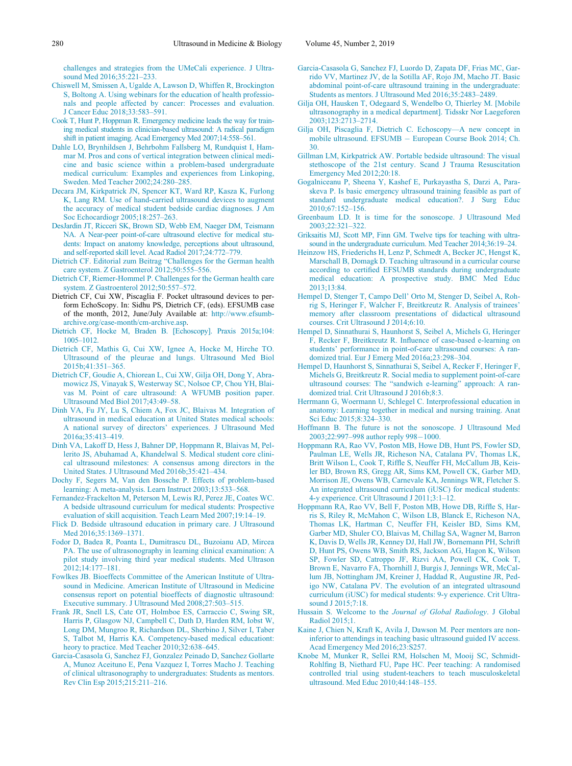[challenges and strategies from the UMeCali experience. J Ultra](http://refhub.elsevier.com/S0301-5629(18)30417-4/sbref0016)[sound Med 2016;35:221–233.](http://refhub.elsevier.com/S0301-5629(18)30417-4/sbref0016)

- <span id="page-9-17"></span><span id="page-9-11"></span><span id="page-9-1"></span>[Chiswell M, Smissen A, Ugalde A, Lawson D, Whiffen R, Brockington](http://refhub.elsevier.com/S0301-5629(18)30417-4/sbref0017) [S, Boltong A. Using webinars for the education of health professio](http://refhub.elsevier.com/S0301-5629(18)30417-4/sbref0017)[nals and people affected by cancer: Processes and evaluation.](http://refhub.elsevier.com/S0301-5629(18)30417-4/sbref0017) [J Cancer Educ 2018;33:583–591.](http://refhub.elsevier.com/S0301-5629(18)30417-4/sbref0017)
- <span id="page-9-9"></span>[Cook T, Hunt P, Hoppman R. Emergency medicine leads the way for train](http://refhub.elsevier.com/S0301-5629(18)30417-4/sbref0018)[ing medical students in clinician-based ultrasound: A radical paradigm](http://refhub.elsevier.com/S0301-5629(18)30417-4/sbref0018) [shift in patient imaging. Acad Emergency Med 2007;14:558–561.](http://refhub.elsevier.com/S0301-5629(18)30417-4/sbref0018)
- <span id="page-9-19"></span><span id="page-9-4"></span>[Dahle LO, Brynhildsen J, Behrbohm Fallsberg M, Rundquist I, Ham](http://refhub.elsevier.com/S0301-5629(18)30417-4/sbref0019)[mar M. Pros and cons of vertical integration between clinical medi](http://refhub.elsevier.com/S0301-5629(18)30417-4/sbref0019)[cine and basic science within a problem-based undergraduate](http://refhub.elsevier.com/S0301-5629(18)30417-4/sbref0019) [medical curriculum: Examples and experiences from Linkoping,](http://refhub.elsevier.com/S0301-5629(18)30417-4/sbref0019) [Sweden. Med Teacher 2002;24:280–285.](http://refhub.elsevier.com/S0301-5629(18)30417-4/sbref0019)
- <span id="page-9-14"></span>[Decara JM, Kirkpatrick JN, Spencer KT, Ward RP, Kasza K, Furlong](http://refhub.elsevier.com/S0301-5629(18)30417-4/sbref0020) [K, Lang RM. Use of hand-carried ultrasound devices to augment](http://refhub.elsevier.com/S0301-5629(18)30417-4/sbref0020) [the accuracy of medical student bedside cardiac diagnoses. J Am](http://refhub.elsevier.com/S0301-5629(18)30417-4/sbref0020) [Soc Echocardiogr 2005;18:257–263.](http://refhub.elsevier.com/S0301-5629(18)30417-4/sbref0020)
- <span id="page-9-13"></span><span id="page-9-5"></span>[DesJardin JT, Ricceri SK, Brown SD, Webb EM, Naeger DM, Teismann](http://refhub.elsevier.com/S0301-5629(18)30417-4/sbref0021) [NA. A Near-peer point-of-care ultrasound elective for medical stu](http://refhub.elsevier.com/S0301-5629(18)30417-4/sbref0021)[dents: Impact on anatomy knowledge, perceptions about ultrasound,](http://refhub.elsevier.com/S0301-5629(18)30417-4/sbref0021) [and self-reported skill level. Acad Radiol 2017;24:772–779.](http://refhub.elsevier.com/S0301-5629(18)30417-4/sbref0021)
- <span id="page-9-10"></span><span id="page-9-7"></span>[Dietrich CF. Editorial zum Beitrag "Challenges for the German health](http://refhub.elsevier.com/S0301-5629(18)30417-4/sbref0022) [care system. Z Gastroenterol 2012;50:555–556.](http://refhub.elsevier.com/S0301-5629(18)30417-4/sbref0022)
- [Dietrich CF, Riemer-Hommel P. Challenges for the German health care](http://refhub.elsevier.com/S0301-5629(18)30417-4/sbref0023) [system. Z Gastroenterol 2012;50:557–572.](http://refhub.elsevier.com/S0301-5629(18)30417-4/sbref0023)
- Dietrich CF, Cui XW, Piscaglia F. Pocket ultrasound devices to perform EchoScopy. In: Sidhu PS, Dietrich CF, (eds). EFSUMB case of the month, 2012, June/July Available at: [http://www.efsumb](http://www.efsumb-archive.org/case-month/cm-archive.asp)[archive.org/case-month/cm-archive.asp.](http://www.efsumb-archive.org/case-month/cm-archive.asp)
- <span id="page-9-2"></span>[Dietrich CF, Hocke M, Braden B. \[Echoscopy\]. Praxis 2015a;104:](http://refhub.elsevier.com/S0301-5629(18)30417-4/sbref0025) [1005–1012.](http://refhub.elsevier.com/S0301-5629(18)30417-4/sbref0025)
- [Dietrich CF, Mathis G, Cui XW, Ignee A, Hocke M, Hirche TO.](http://refhub.elsevier.com/S0301-5629(18)30417-4/sbref0026) [Ultrasound of the pleurae and lungs. Ultrasound Med Biol](http://refhub.elsevier.com/S0301-5629(18)30417-4/sbref0026) [2015b;41:351–365.](http://refhub.elsevier.com/S0301-5629(18)30417-4/sbref0026)
- <span id="page-9-6"></span>[Dietrich CF, Goudie A, Chiorean L, Cui XW, Gilja OH, Dong Y, Abra](http://refhub.elsevier.com/S0301-5629(18)30417-4/sbref0027)[mowicz JS, Vinayak S, Westerway SC, Nolsoe CP, Chou YH, Blai](http://refhub.elsevier.com/S0301-5629(18)30417-4/sbref0027)[vas M. Point of care ultrasound: A WFUMB position paper.](http://refhub.elsevier.com/S0301-5629(18)30417-4/sbref0027) [Ultrasound Med Biol 2017;43:49–58.](http://refhub.elsevier.com/S0301-5629(18)30417-4/sbref0027)
- <span id="page-9-16"></span><span id="page-9-0"></span>[Dinh VA, Fu JY, Lu S, Chiem A, Fox JC, Blaivas M. Integration of](http://refhub.elsevier.com/S0301-5629(18)30417-4/sbref0028) [ultrasound in medical education at United States medical schools:](http://refhub.elsevier.com/S0301-5629(18)30417-4/sbref0028) [A national survey of directors' experiences. J Ultrasound Med](http://refhub.elsevier.com/S0301-5629(18)30417-4/sbref0028) [2016a;35:413–419.](http://refhub.elsevier.com/S0301-5629(18)30417-4/sbref0028)
- <span id="page-9-8"></span>[Dinh VA, Lakoff D, Hess J, Bahner DP, Hoppmann R, Blaivas M, Pel](http://refhub.elsevier.com/S0301-5629(18)30417-4/sbref0029)[lerito JS, Abuhamad A, Khandelwal S. Medical student core clini](http://refhub.elsevier.com/S0301-5629(18)30417-4/sbref0029)[cal ultrasound milestones: A consensus among directors in the](http://refhub.elsevier.com/S0301-5629(18)30417-4/sbref0029) [United States. J Ultrasound Med 2016b;35:421–434.](http://refhub.elsevier.com/S0301-5629(18)30417-4/sbref0029)
- [Dochy F, Segers M, Van den Bossche P. Effects of problem-based](http://refhub.elsevier.com/S0301-5629(18)30417-4/sbref0030) [learning: A meta-analysis. Learn Instruct 2003;13:533–568.](http://refhub.elsevier.com/S0301-5629(18)30417-4/sbref0030)
- [Fernandez-Frackelton M, Peterson M, Lewis RJ, Perez JE, Coates WC.](http://refhub.elsevier.com/S0301-5629(18)30417-4/sbref0031) [A bedside ultrasound curriculum for medical students: Prospective](http://refhub.elsevier.com/S0301-5629(18)30417-4/sbref0031) [evaluation of skill acquisition. Teach Learn Med 2007;19:14–19.](http://refhub.elsevier.com/S0301-5629(18)30417-4/sbref0031)
- [Flick D. Bedside ultrasound education in primary care. J Ultrasound](http://refhub.elsevier.com/S0301-5629(18)30417-4/sbref0032) [Med 2016;35:1369–1371.](http://refhub.elsevier.com/S0301-5629(18)30417-4/sbref0032)
- <span id="page-9-18"></span>[Fodor D, Badea R, Poanta L, Dumitrascu DL, Buzoianu AD, Mircea](http://refhub.elsevier.com/S0301-5629(18)30417-4/sbref0033) [PA. The use of ultrasonography in learning clinical examination: A](http://refhub.elsevier.com/S0301-5629(18)30417-4/sbref0033) [pilot study involving third year medical students. Med Ultrason](http://refhub.elsevier.com/S0301-5629(18)30417-4/sbref0033) [2012;14:177–181.](http://refhub.elsevier.com/S0301-5629(18)30417-4/sbref0033)
- <span id="page-9-15"></span>[Fowlkes JB. Bioeffects Committee of the American Institute of Ultra](http://refhub.elsevier.com/S0301-5629(18)30417-4/sbref0034)[sound in Medicine. American Institute of Ultrasound in Medicine](http://refhub.elsevier.com/S0301-5629(18)30417-4/sbref0034) [consensus report on potential bioeffects of diagnostic ultrasound:](http://refhub.elsevier.com/S0301-5629(18)30417-4/sbref0034) [Executive summary. J Ultrasound Med 2008;27:503–515.](http://refhub.elsevier.com/S0301-5629(18)30417-4/sbref0034)
- <span id="page-9-3"></span>[Frank JR, Snell LS, Cate OT, Holmboe ES, Carraccio C, Swing SR,](http://refhub.elsevier.com/S0301-5629(18)30417-4/sbref0035) [Harris P, Glasgow NJ, Campbell C, Dath D, Harden RM, Iobst W,](http://refhub.elsevier.com/S0301-5629(18)30417-4/sbref0035) [Long DM, Mungroo R, Richardson DL, Sherbino J, Silver I, Taber](http://refhub.elsevier.com/S0301-5629(18)30417-4/sbref0035) [S, Talbot M, Harris KA. Competency-based medical educationt:](http://refhub.elsevier.com/S0301-5629(18)30417-4/sbref0035) [heory to practice. Med Teacher 2010;32:638–645.](http://refhub.elsevier.com/S0301-5629(18)30417-4/sbref0035)
- <span id="page-9-20"></span><span id="page-9-12"></span>[Garcia-Casasola G, Sanchez FJ, Gonzalez Peinado D, Sanchez Gollarte](http://refhub.elsevier.com/S0301-5629(18)30417-4/sbref0036) [A, Munoz Aceituno E, Pena Vazquez I, Torres Macho J. Teaching](http://refhub.elsevier.com/S0301-5629(18)30417-4/sbref0036) [of clinical ultrasonography to undergraduates: Students as mentors.](http://refhub.elsevier.com/S0301-5629(18)30417-4/sbref0036) [Rev Clin Esp 2015;215:211–216.](http://refhub.elsevier.com/S0301-5629(18)30417-4/sbref0036)
- [Garcia-Casasola G, Sanchez FJ, Luordo D, Zapata DF, Frias MC, Gar](http://refhub.elsevier.com/S0301-5629(18)30417-4/sbref0037)[rido VV, Martinez JV, de la Sotilla AF, Rojo JM, Macho JT. Basic](http://refhub.elsevier.com/S0301-5629(18)30417-4/sbref0037) [abdominal point-of-care ultrasound training in the undergraduate:](http://refhub.elsevier.com/S0301-5629(18)30417-4/sbref0037) [Students as mentors. J Ultrasound Med 2016;35:2483–2489.](http://refhub.elsevier.com/S0301-5629(18)30417-4/sbref0037)
- [Gilja OH, Hausken T, Odegaard S, Wendelbo O, Thierley M. \[Mobile](http://refhub.elsevier.com/S0301-5629(18)30417-4/sbref0038) [ultrasonography in a medical department\]. Tidsskr Nor Laegeforen](http://refhub.elsevier.com/S0301-5629(18)30417-4/sbref0038) [2003;123:2713–2714.](http://refhub.elsevier.com/S0301-5629(18)30417-4/sbref0038)
- [Gilja OH, Piscaglia F, Dietrich C. Echoscopy—A new concept in](http://refhub.elsevier.com/S0301-5629(18)30417-4/sbref0039) [mobile ultrasound. EFSUMB](http://refhub.elsevier.com/S0301-5629(18)30417-4/sbref0039) - [European Course Book 2014; Ch.](http://refhub.elsevier.com/S0301-5629(18)30417-4/sbref0039) [30.](http://refhub.elsevier.com/S0301-5629(18)30417-4/sbref0039)
- [Gillman LM, Kirkpatrick AW. Portable bedside ultrasound: The visual](http://refhub.elsevier.com/S0301-5629(18)30417-4/sbref0040) [stethoscope of the 21st century. Scand J Trauma Resuscitation](http://refhub.elsevier.com/S0301-5629(18)30417-4/sbref0040) [Emergency Med 2012;20:18.](http://refhub.elsevier.com/S0301-5629(18)30417-4/sbref0040)
- [Gogalniceanu P, Sheena Y, Kashef E, Purkayastha S, Darzi A, Para](http://refhub.elsevier.com/S0301-5629(18)30417-4/sbref0041)[skeva P. Is basic emergency ultrasound training feasible as part of](http://refhub.elsevier.com/S0301-5629(18)30417-4/sbref0041) [standard undergraduate medical education?. J Surg Educ](http://refhub.elsevier.com/S0301-5629(18)30417-4/sbref0041) [2010;67:152–156.](http://refhub.elsevier.com/S0301-5629(18)30417-4/sbref0041)
- [Greenbaum LD. It is time for the sonoscope. J Ultrasound Med](http://refhub.elsevier.com/S0301-5629(18)30417-4/sbref0042) [2003;22:321–322.](http://refhub.elsevier.com/S0301-5629(18)30417-4/sbref0042)
- [Griksaitis MJ, Scott MP, Finn GM. Twelve tips for teaching with ultra](http://refhub.elsevier.com/S0301-5629(18)30417-4/sbref0043)[sound in the undergraduate curriculum. Med Teacher 2014;36:19–24.](http://refhub.elsevier.com/S0301-5629(18)30417-4/sbref0043)
- [Heinzow HS, Friederichs H, Lenz P, Schmedt A, Becker JC, Hengst K,](http://refhub.elsevier.com/S0301-5629(18)30417-4/sbref0044) [Marschall B, Domagk D. Teaching ultrasound in a curricular course](http://refhub.elsevier.com/S0301-5629(18)30417-4/sbref0044) [according to certified EFSUMB standards during undergraduate](http://refhub.elsevier.com/S0301-5629(18)30417-4/sbref0044) [medical education: A prospective study. BMC Med Educ](http://refhub.elsevier.com/S0301-5629(18)30417-4/sbref0044) [2013;13:84.](http://refhub.elsevier.com/S0301-5629(18)30417-4/sbref0044)
- [Hempel D, Stenger T, Campo Dell' Orto M, Stenger D, Seibel A, Roh](http://refhub.elsevier.com/S0301-5629(18)30417-4/sbref0045)[rig S, Heringer F, Walcher F, Breitkreutz R. Analysis of trainees'](http://refhub.elsevier.com/S0301-5629(18)30417-4/sbref0045) [memory after classroom presentations of didactical ultrasound](http://refhub.elsevier.com/S0301-5629(18)30417-4/sbref0045) [courses. Crit Ultrasound J 2014;6:10.](http://refhub.elsevier.com/S0301-5629(18)30417-4/sbref0045)
- [Hempel D, Sinnathurai S, Haunhorst S, Seibel A, Michels G, Heringer](http://refhub.elsevier.com/S0301-5629(18)30417-4/sbref0046) [F, Recker F, Breitkreutz R. Influence of case-based e-learning on](http://refhub.elsevier.com/S0301-5629(18)30417-4/sbref0046) [students' performance in point-of-care ultrasound courses: A ran](http://refhub.elsevier.com/S0301-5629(18)30417-4/sbref0046)[domized trial. Eur J Emerg Med 2016a;23:298–304.](http://refhub.elsevier.com/S0301-5629(18)30417-4/sbref0046)
- [Hempel D, Haunhorst S, Sinnathurai S, Seibel A, Recker F, Heringer F,](http://refhub.elsevier.com/S0301-5629(18)30417-4/sbref0047) [Michels G, Breitkreutz R. Social media to supplement point-of-care](http://refhub.elsevier.com/S0301-5629(18)30417-4/sbref0047) [ultrasound courses: The "sandwich e-learning](http://refhub.elsevier.com/S0301-5629(18)30417-4/sbref0047)" [approach: A ran](http://refhub.elsevier.com/S0301-5629(18)30417-4/sbref0047)[domized trial. Crit Ultrasound J 2016b;8:3.](http://refhub.elsevier.com/S0301-5629(18)30417-4/sbref0047)
- [Herrmann G, Woermann U, Schlegel C. Interprofessional education in](http://refhub.elsevier.com/S0301-5629(18)30417-4/sbref0048) [anatomy: Learning together in medical and nursing training. Anat](http://refhub.elsevier.com/S0301-5629(18)30417-4/sbref0048) [Sci Educ 2015;8:324–330.](http://refhub.elsevier.com/S0301-5629(18)30417-4/sbref0048)
- [Hoffmann B. The future is not the sonoscope. J Ultrasound Med](http://refhub.elsevier.com/S0301-5629(18)30417-4/sbref0049) 2003;22:997-998 author reply 998-[1000.](http://refhub.elsevier.com/S0301-5629(18)30417-4/sbref0049)
- [Hoppmann RA, Rao VV, Poston MB, Howe DB, Hunt PS, Fowler SD,](http://refhub.elsevier.com/S0301-5629(18)30417-4/sbref0050) [Paulman LE, Wells JR, Richeson NA, Catalana PV, Thomas LK,](http://refhub.elsevier.com/S0301-5629(18)30417-4/sbref0050) [Britt Wilson L, Cook T, Riffle S, Neuffer FH, McCallum JB, Keis](http://refhub.elsevier.com/S0301-5629(18)30417-4/sbref0050)[ler BD, Brown RS, Gregg AR, Sims KM, Powell CK, Garber MD,](http://refhub.elsevier.com/S0301-5629(18)30417-4/sbref0050) [Morrison JE, Owens WB, Carnevale KA, Jennings WR, Fletcher S.](http://refhub.elsevier.com/S0301-5629(18)30417-4/sbref0050) [An integrated ultrasound curriculum \(iUSC\) for medical students:](http://refhub.elsevier.com/S0301-5629(18)30417-4/sbref0050) [4-y experience. Crit Ultrasound J 2011;3:1–12.](http://refhub.elsevier.com/S0301-5629(18)30417-4/sbref0050)
- [Hoppmann RA, Rao VV, Bell F, Poston MB, Howe DB, Riffle S, Har](http://refhub.elsevier.com/S0301-5629(18)30417-4/sbref0051)[ris S, Riley R, McMahon C, Wilson LB, Blanck E, Richeson NA,](http://refhub.elsevier.com/S0301-5629(18)30417-4/sbref0051) [Thomas LK, Hartman C, Neuffer FH, Keisler BD, Sims KM,](http://refhub.elsevier.com/S0301-5629(18)30417-4/sbref0051) [Garber MD, Shuler CO, Blaivas M, Chillag SA, Wagner M, Barron](http://refhub.elsevier.com/S0301-5629(18)30417-4/sbref0051) [K, Davis D, Wells JR, Kenney DJ, Hall JW, Bornemann PH, Schrift](http://refhub.elsevier.com/S0301-5629(18)30417-4/sbref0051) [D, Hunt PS, Owens WB, Smith RS, Jackson AG, Hagon K, Wilson](http://refhub.elsevier.com/S0301-5629(18)30417-4/sbref0051) [SP, Fowler SD, Catroppo JF, Rizvi AA, Powell CK, Cook T,](http://refhub.elsevier.com/S0301-5629(18)30417-4/sbref0051) [Brown E, Navarro FA, Thornhill J, Burgis J, Jennings WR, McCal](http://refhub.elsevier.com/S0301-5629(18)30417-4/sbref0051)[lum JB, Nottingham JM, Kreiner J, Haddad R, Augustine JR, Ped](http://refhub.elsevier.com/S0301-5629(18)30417-4/sbref0051)[igo NW, Catalana PV. The evolution of an integrated ultrasound](http://refhub.elsevier.com/S0301-5629(18)30417-4/sbref0051) [curriculum \(iUSC\) for medical students: 9-y experience. Crit Ultra](http://refhub.elsevier.com/S0301-5629(18)30417-4/sbref0051)sound  $J$  2015;  $7.18$ .
- Hussain S. Welcome to the [Journal of Global Radiology](http://refhub.elsevier.com/S0301-5629(18)30417-4/sbref0052). J Global [Radiol 2015;1.](http://refhub.elsevier.com/S0301-5629(18)30417-4/sbref0052)
- [Kaine J, Chien N, Kraft K, Avila J, Dawson M. Peer mentors are non](http://refhub.elsevier.com/S0301-5629(18)30417-4/sbref0053)[inferior to attendings in teaching basic ultrasound guided IV access.](http://refhub.elsevier.com/S0301-5629(18)30417-4/sbref0053) [Acad Emergency Med 2016;23:S257.](http://refhub.elsevier.com/S0301-5629(18)30417-4/sbref0053)
- [Knobe M, Munker R, Sellei RM, Holschen M, Mooij SC, Schmidt-](http://refhub.elsevier.com/S0301-5629(18)30417-4/sbref0054)[Rohlfing B, Niethard FU, Pape HC. Peer teaching: A randomised](http://refhub.elsevier.com/S0301-5629(18)30417-4/sbref0054) [controlled trial using student-teachers to teach musculoskeletal](http://refhub.elsevier.com/S0301-5629(18)30417-4/sbref0054) [ultrasound. Med Educ 2010;44:148–155.](http://refhub.elsevier.com/S0301-5629(18)30417-4/sbref0054)